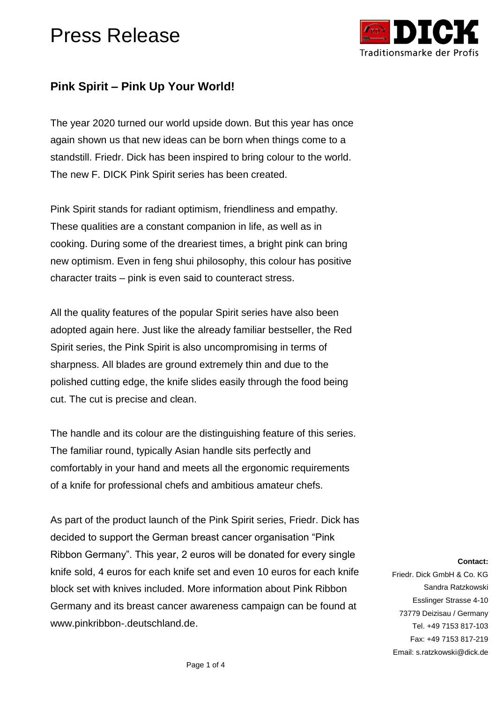

#### **Pink Spirit – Pink Up Your World!**

The year 2020 turned our world upside down. But this year has once again shown us that new ideas can be born when things come to a standstill. Friedr. Dick has been inspired to bring colour to the world. The new F. DICK Pink Spirit series has been created.

Pink Spirit stands for radiant optimism, friendliness and empathy. These qualities are a constant companion in life, as well as in cooking. During some of the dreariest times, a bright pink can bring new optimism. Even in feng shui philosophy, this colour has positive character traits – pink is even said to counteract stress.

All the quality features of the popular Spirit series have also been adopted again here. Just like the already familiar bestseller, the Red Spirit series, the Pink Spirit is also uncompromising in terms of sharpness. All blades are ground extremely thin and due to the polished cutting edge, the knife slides easily through the food being cut. The cut is precise and clean.

The handle and its colour are the distinguishing feature of this series. The familiar round, typically Asian handle sits perfectly and comfortably in your hand and meets all the ergonomic requirements of a knife for professional chefs and ambitious amateur chefs.

As part of the product launch of the Pink Spirit series, Friedr. Dick has decided to support the German breast cancer organisation "Pink Ribbon Germany". This year, 2 euros will be donated for every single knife sold, 4 euros for each knife set and even 10 euros for each knife block set with knives included. More information about Pink Ribbon Germany and its breast cancer awareness campaign can be found at [www.pinkribbon-.deutschland.de.](http://www.pinkribbon-.deutschland.de/)

**Contact:**

Friedr. Dick GmbH & Co. KG Sandra Ratzkowski Esslinger Strasse 4-10 73779 Deizisau / Germany Tel. +49 7153 817-103 Fax: +49 7153 817-219 Email: s.ratzkowski@dick.de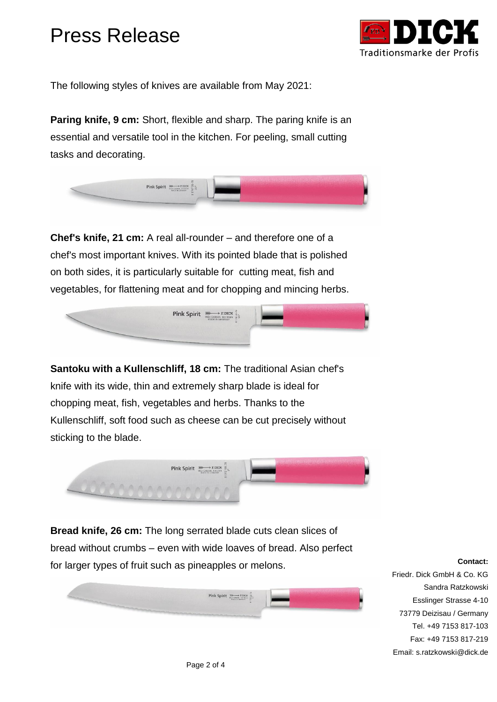

The following styles of knives are available from May 2021:

**Paring knife, 9 cm:** Short, flexible and sharp. The paring knife is an essential and versatile tool in the kitchen. For peeling, small cutting tasks and decorating.



**Chef's knife, 21 cm:** A real all-rounder – and therefore one of a chef's most important knives. With its pointed blade that is polished on both sides, it is particularly suitable for cutting meat, fish and vegetables, for flattening meat and for chopping and mincing herbs.



**Santoku with a Kullenschliff, 18 cm:** The traditional Asian chef's knife with its wide, thin and extremely sharp blade is ideal for chopping meat, fish, vegetables and herbs. Thanks to the Kullenschliff, soft food such as cheese can be cut precisely without sticking to the blade.



**Bread knife, 26 cm:** The long serrated blade cuts clean slices of bread without crumbs – even with wide loaves of bread. Also perfect for larger types of fruit such as pineapples or melons.



#### **Contact:**

Friedr. Dick GmbH & Co. KG Sandra Ratzkowski Esslinger Strasse 4-10 73779 Deizisau / Germany Tel. +49 7153 817-103 Fax: +49 7153 817-219 Email: s.ratzkowski@dick.de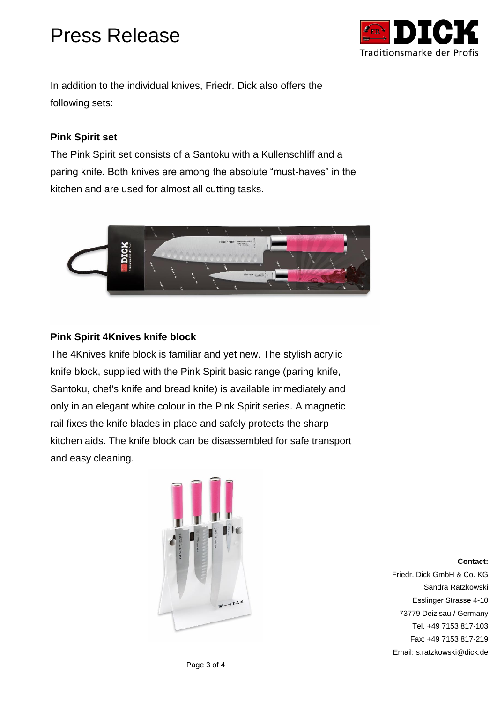

In addition to the individual knives, Friedr. Dick also offers the following sets:

#### **Pink Spirit set**

The Pink Spirit set consists of a Santoku with a Kullenschliff and a paring knife. Both knives are among the absolute "must-haves" in the kitchen and are used for almost all cutting tasks.



#### **Pink Spirit 4Knives knife block**

The 4Knives knife block is familiar and yet new. The stylish acrylic knife block, supplied with the Pink Spirit basic range (paring knife, Santoku, chef's knife and bread knife) is available immediately and only in an elegant white colour in the Pink Spirit series. A magnetic rail fixes the knife blades in place and safely protects the sharp kitchen aids. The knife block can be disassembled for safe transport and easy cleaning.



**Contact:** Friedr. Dick GmbH & Co. KG Sandra Ratzkowski Esslinger Strasse 4-10 73779 Deizisau / Germany Tel. +49 7153 817-103 Fax: +49 7153 817-219 Email: s.ratzkowski@dick.de